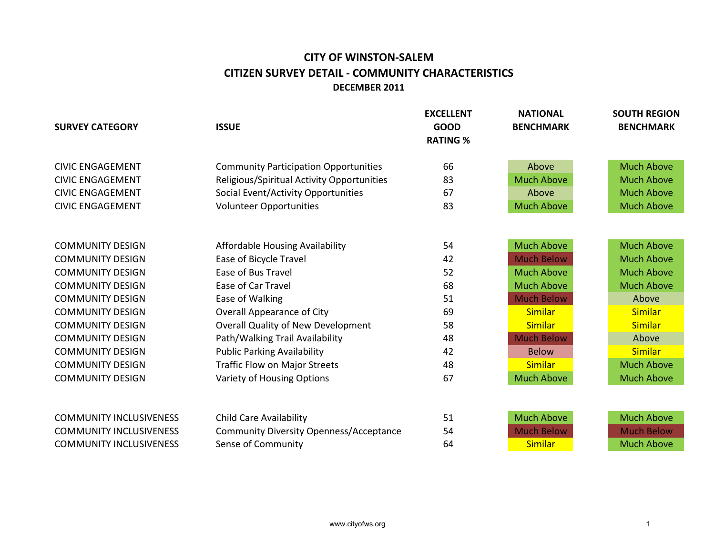## **CITY OF WINSTON-SALEM CITIZEN SURVEY DETAIL - COMMUNITY CHARACTERISTICS DECEMBER 2011**

| <b>SURVEY CATEGORY</b>         | <b>ISSUE</b>                                   | <b>EXCELLENT</b><br><b>GOOD</b><br><b>RATING %</b> | <b>NATIONAL</b><br><b>BENCHMARK</b> | <b>SOUTH REGION</b><br><b>BENCHMARK</b> |
|--------------------------------|------------------------------------------------|----------------------------------------------------|-------------------------------------|-----------------------------------------|
|                                |                                                |                                                    |                                     |                                         |
| <b>CIVIC ENGAGEMENT</b>        | <b>Community Participation Opportunities</b>   | 66                                                 | Above                               | <b>Much Above</b>                       |
| <b>CIVIC ENGAGEMENT</b>        | Religious/Spiritual Activity Opportunities     | 83                                                 | <b>Much Above</b>                   | <b>Much Above</b>                       |
| <b>CIVIC ENGAGEMENT</b>        | Social Event/Activity Opportunities            | 67                                                 | Above                               | <b>Much Above</b>                       |
| <b>CIVIC ENGAGEMENT</b>        | <b>Volunteer Opportunities</b>                 | 83                                                 | <b>Much Above</b>                   | <b>Much Above</b>                       |
|                                |                                                |                                                    |                                     |                                         |
| <b>COMMUNITY DESIGN</b>        | Affordable Housing Availability                | 54                                                 | <b>Much Above</b>                   | <b>Much Above</b>                       |
| <b>COMMUNITY DESIGN</b>        | Ease of Bicycle Travel                         | 42                                                 | <b>Much Below</b>                   | <b>Much Above</b>                       |
| <b>COMMUNITY DESIGN</b>        | Ease of Bus Travel                             | 52                                                 | <b>Much Above</b>                   | <b>Much Above</b>                       |
| <b>COMMUNITY DESIGN</b>        | <b>Ease of Car Travel</b>                      | 68                                                 | <b>Much Above</b>                   | <b>Much Above</b>                       |
| <b>COMMUNITY DESIGN</b>        | Ease of Walking                                | 51                                                 | <b>Much Below</b>                   | Above                                   |
| <b>COMMUNITY DESIGN</b>        | <b>Overall Appearance of City</b>              | 69                                                 | <b>Similar</b>                      | <b>Similar</b>                          |
| <b>COMMUNITY DESIGN</b>        | <b>Overall Quality of New Development</b>      | 58                                                 | <b>Similar</b>                      | <b>Similar</b>                          |
| <b>COMMUNITY DESIGN</b>        | Path/Walking Trail Availability                | 48                                                 | <b>Much Below</b>                   | Above                                   |
| <b>COMMUNITY DESIGN</b>        | <b>Public Parking Availability</b>             | 42                                                 | <b>Below</b>                        | <b>Similar</b>                          |
| <b>COMMUNITY DESIGN</b>        | Traffic Flow on Major Streets                  | 48                                                 | <b>Similar</b>                      | <b>Much Above</b>                       |
| <b>COMMUNITY DESIGN</b>        | Variety of Housing Options                     | 67                                                 | <b>Much Above</b>                   | <b>Much Above</b>                       |
|                                |                                                |                                                    |                                     |                                         |
| <b>COMMUNITY INCLUSIVENESS</b> | <b>Child Care Availability</b>                 | 51                                                 | <b>Much Above</b>                   | <b>Much Above</b>                       |
| <b>COMMUNITY INCLUSIVENESS</b> | <b>Community Diversity Openness/Acceptance</b> | 54                                                 | <b>Much Below</b>                   | <b>Much Below</b>                       |
| <b>COMMUNITY INCLUSIVENESS</b> | Sense of Community                             | 64                                                 | <b>Similar</b>                      | <b>Much Above</b>                       |